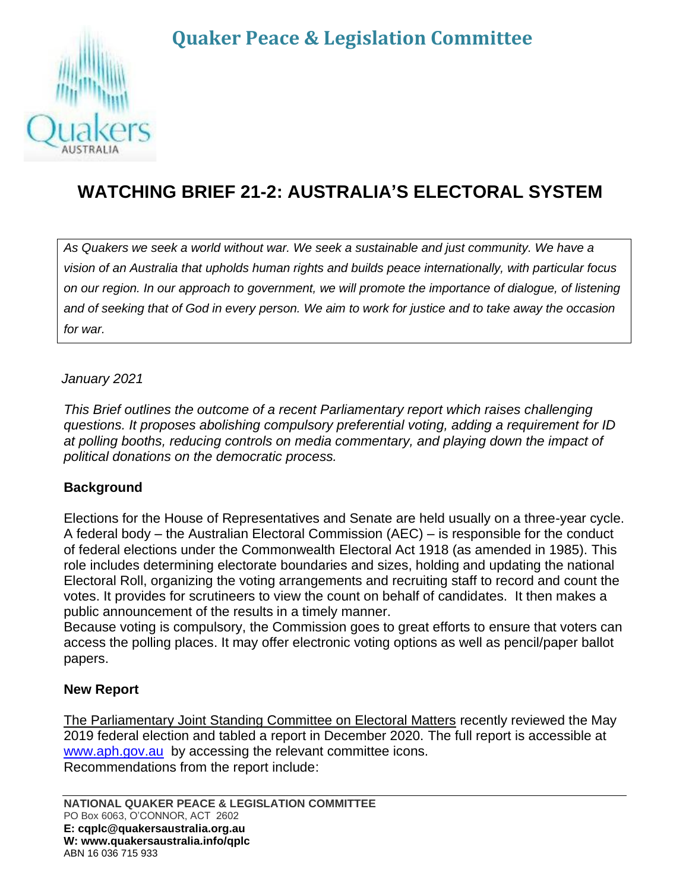# **Quaker Peace & Legislation Committee**



## **WATCHING BRIEF 21-2: AUSTRALIA'S ELECTORAL SYSTEM**

*As Quakers we seek a world without war. We seek a sustainable and just community. We have a vision of an Australia that upholds human rights and builds peace internationally, with particular focus on our region. In our approach to government, we will promote the importance of dialogue, of listening and of seeking that of God in every person. We aim to work for justice and to take away the occasion for war.*

#### *January 2021*

*This Brief outlines the outcome of a recent Parliamentary report which raises challenging questions. It proposes abolishing compulsory preferential voting, adding a requirement for ID at polling booths, reducing controls on media commentary, and playing down the impact of political donations on the democratic process.*

#### **Background**

Elections for the House of Representatives and Senate are held usually on a three-year cycle. A federal body – the Australian Electoral Commission (AEC) – is responsible for the conduct of federal elections under the Commonwealth Electoral Act 1918 (as amended in 1985). This role includes determining electorate boundaries and sizes, holding and updating the national Electoral Roll, organizing the voting arrangements and recruiting staff to record and count the votes. It provides for scrutineers to view the count on behalf of candidates. It then makes a public announcement of the results in a timely manner.

Because voting is compulsory, the Commission goes to great efforts to ensure that voters can access the polling places. It may offer electronic voting options as well as pencil/paper ballot papers.

#### **New Report**

The Parliamentary Joint Standing Committee on Electoral Matters recently reviewed the May 2019 federal election and tabled a report in December 2020. The full report is accessible at [www.aph.gov.au](http://www.aph.gov.au/) by accessing the relevant committee icons. Recommendations from the report include: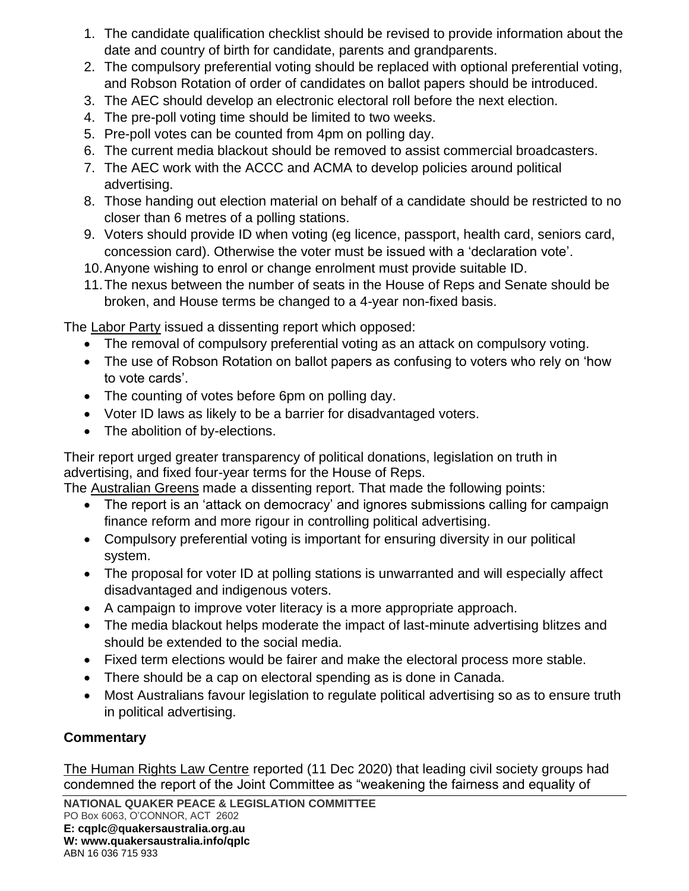- 1. The candidate qualification checklist should be revised to provide information about the date and country of birth for candidate, parents and grandparents.
- 2. The compulsory preferential voting should be replaced with optional preferential voting, and Robson Rotation of order of candidates on ballot papers should be introduced.
- 3. The AEC should develop an electronic electoral roll before the next election.
- 4. The pre-poll voting time should be limited to two weeks.
- 5. Pre-poll votes can be counted from 4pm on polling day.
- 6. The current media blackout should be removed to assist commercial broadcasters.
- 7. The AEC work with the ACCC and ACMA to develop policies around political advertising.
- 8. Those handing out election material on behalf of a candidate should be restricted to no closer than 6 metres of a polling stations.
- 9. Voters should provide ID when voting (eg licence, passport, health card, seniors card, concession card). Otherwise the voter must be issued with a 'declaration vote'.
- 10.Anyone wishing to enrol or change enrolment must provide suitable ID.
- 11.The nexus between the number of seats in the House of Reps and Senate should be broken, and House terms be changed to a 4-year non-fixed basis.

The Labor Party issued a dissenting report which opposed:

- The removal of compulsory preferential voting as an attack on compulsory voting.
- The use of Robson Rotation on ballot papers as confusing to voters who rely on 'how to vote cards'.
- The counting of votes before 6pm on polling day.
- Voter ID laws as likely to be a barrier for disadvantaged voters.
- The abolition of by-elections.

Their report urged greater transparency of political donations, legislation on truth in advertising, and fixed four-year terms for the House of Reps.

The Australian Greens made a dissenting report. That made the following points:

- The report is an 'attack on democracy' and ignores submissions calling for campaign finance reform and more rigour in controlling political advertising.
- Compulsory preferential voting is important for ensuring diversity in our political system.
- The proposal for voter ID at polling stations is unwarranted and will especially affect disadvantaged and indigenous voters.
- A campaign to improve voter literacy is a more appropriate approach.
- The media blackout helps moderate the impact of last-minute advertising blitzes and should be extended to the social media.
- Fixed term elections would be fairer and make the electoral process more stable.
- There should be a cap on electoral spending as is done in Canada.
- Most Australians favour legislation to regulate political advertising so as to ensure truth in political advertising.

### **Commentary**

The Human Rights Law Centre reported (11 Dec 2020) that leading civil society groups had condemned the report of the Joint Committee as "weakening the fairness and equality of